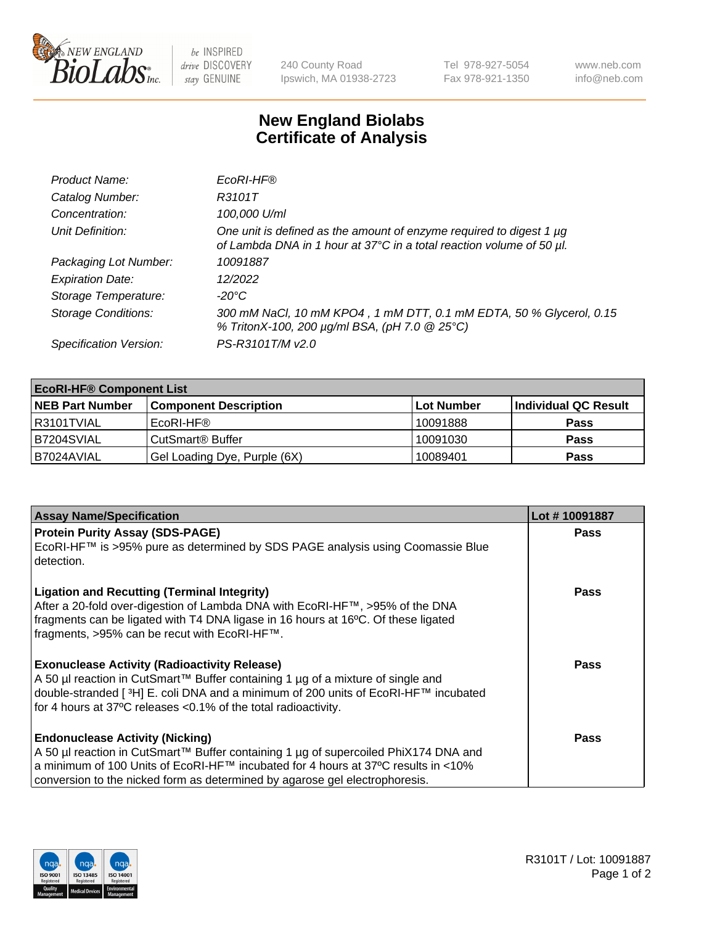

be INSPIRED drive DISCOVERY stay GENUINE

240 County Road Ipswich, MA 01938-2723 Tel 978-927-5054 Fax 978-921-1350 www.neb.com info@neb.com

## **New England Biolabs Certificate of Analysis**

| Product Name:              | EcoRI-HF®                                                                                                                                   |
|----------------------------|---------------------------------------------------------------------------------------------------------------------------------------------|
| Catalog Number:            | R3101T                                                                                                                                      |
| Concentration:             | 100,000 U/ml                                                                                                                                |
| Unit Definition:           | One unit is defined as the amount of enzyme required to digest 1 µg<br>of Lambda DNA in 1 hour at 37°C in a total reaction volume of 50 µl. |
| Packaging Lot Number:      | 10091887                                                                                                                                    |
| <b>Expiration Date:</b>    | 12/2022                                                                                                                                     |
| Storage Temperature:       | -20°C                                                                                                                                       |
| <b>Storage Conditions:</b> | 300 mM NaCl, 10 mM KPO4, 1 mM DTT, 0.1 mM EDTA, 50 % Glycerol, 0.15<br>% TritonX-100, 200 µg/ml BSA, (pH 7.0 @ 25°C)                        |
| Specification Version:     | PS-R3101T/M v2.0                                                                                                                            |

| <b>EcoRI-HF® Component List</b> |                              |            |                      |  |  |
|---------------------------------|------------------------------|------------|----------------------|--|--|
| <b>NEB Part Number</b>          | <b>Component Description</b> | Lot Number | Individual QC Result |  |  |
| R3101TVIAL                      | EcoRI-HF®                    | 10091888   | <b>Pass</b>          |  |  |
| IB7204SVIAL                     | CutSmart® Buffer             | 10091030   | Pass                 |  |  |
| I B7024AVIAL                    | Gel Loading Dye, Purple (6X) | 10089401   | <b>Pass</b>          |  |  |

| <b>Assay Name/Specification</b>                                                                                                                                                                                                                                                                   | Lot #10091887 |
|---------------------------------------------------------------------------------------------------------------------------------------------------------------------------------------------------------------------------------------------------------------------------------------------------|---------------|
| <b>Protein Purity Assay (SDS-PAGE)</b>                                                                                                                                                                                                                                                            | <b>Pass</b>   |
| EcoRI-HF™ is >95% pure as determined by SDS PAGE analysis using Coomassie Blue<br>detection.                                                                                                                                                                                                      |               |
| <b>Ligation and Recutting (Terminal Integrity)</b><br>After a 20-fold over-digestion of Lambda DNA with EcoRI-HF™, >95% of the DNA<br>fragments can be ligated with T4 DNA ligase in 16 hours at 16°C. Of these ligated<br>fragments, >95% can be recut with EcoRI-HF™.                           | <b>Pass</b>   |
| <b>Exonuclease Activity (Radioactivity Release)</b><br>A 50 µl reaction in CutSmart™ Buffer containing 1 µg of a mixture of single and<br>double-stranded [3H] E. coli DNA and a minimum of 200 units of EcoRI-HF™ incubated<br>for 4 hours at 37°C releases <0.1% of the total radioactivity.    | <b>Pass</b>   |
| <b>Endonuclease Activity (Nicking)</b><br>A 50 µl reaction in CutSmart™ Buffer containing 1 µg of supercoiled PhiX174 DNA and<br>a minimum of 100 Units of EcoRI-HF™ incubated for 4 hours at 37°C results in <10%<br>conversion to the nicked form as determined by agarose gel electrophoresis. | <b>Pass</b>   |